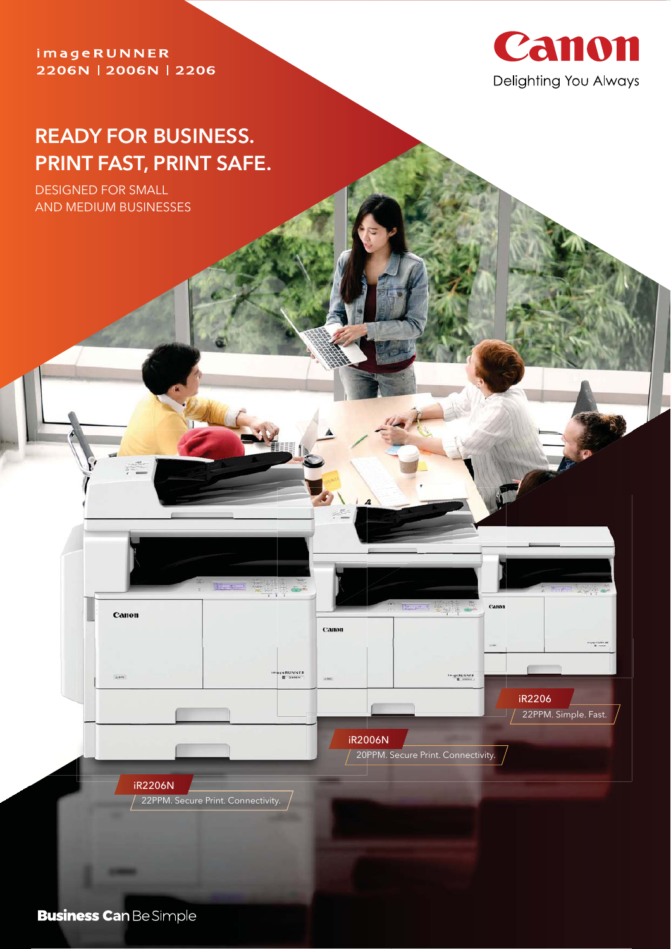### imageRUNNER 2206N | 2006N | 2206



22PPM. Simple. Fast.

iR2206

# **READY FOR BUSINESS. PRINT FAST, PRINT SAFE.**

DESIGNED FOR SMALL AND MEDIUM BUSINESSES

**Business Can Be Simple** 

سنتمز

iR2206N

Canon

22PPM. Secure Print. Connectivity.

20PPM. Secure Print. Connectivity.

iR2006N

Canon

geRUNNER<br>**E** 2006N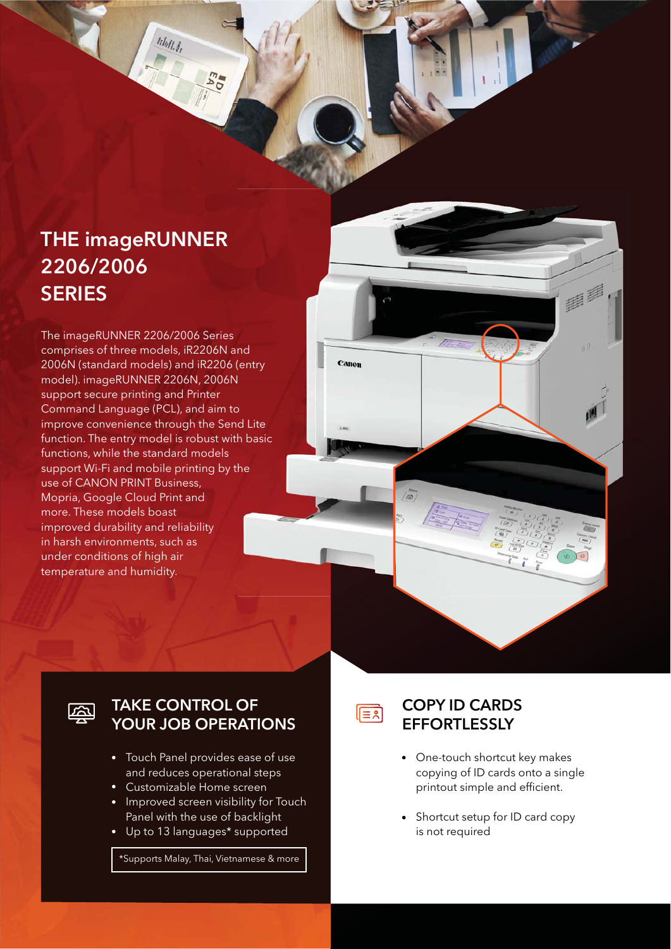# **THE imageRUNNER 2206/2006 SERIES**

MAIL 3

The imageRUNNER 2206/2006 Series comprises of three models, iR2206N and 2006N (standard models) and iR2206 (entry model). imageRUNNER 2206N, 2006N support secure printing and Printer Command Language (PCL), and aim to improve convenience through the Send Lite function. The entry model is robust with basic functions, while the standard models support Wi-Fi and mobile printing by the use of CANON PRINT Business, Mopria, Google Cloud Print and more. These models boast improved durability and reliability in harsh environments, such as under conditions of high air temperature and humidity.





### **TAKE CONTROL OF YOUR JOB OPERATIONS**

- Touch Panel provides ease of use and reduces operational steps
- Customizable Home screen
- Improved screen visibility for Touch Panel with the use of backlight
- Up to 13 languages\* supported

\*Supports Malay, Thai, Vietnamese & more

∣।≣हो

### **COPY ID CARDS EFFORTLESSLY**

- One-touch shortcut key makes copying of ID cards onto a single printout simple and efficient.
- Shortcut setup for ID card copy is not required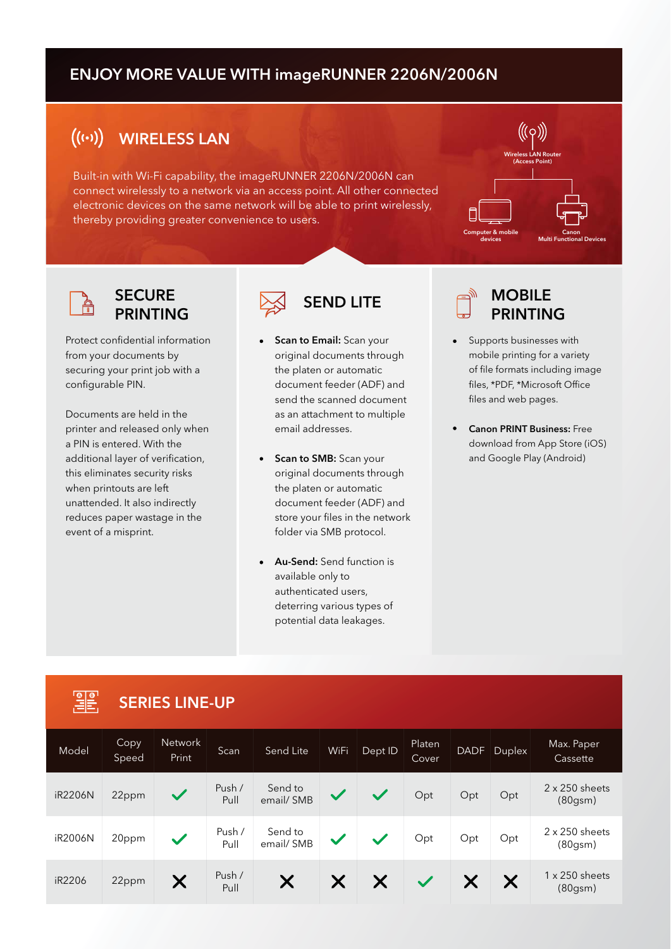### **ENJOY MORE VALUE WITH imageRUNNER 2206N/2006N**

#### $((\cdots))$ **WIRELESS LAN**

Built-in with Wi-Fi capability, the imageRUNNER 2206N/2006N can connect wirelessly to a network via an access point. All other connected electronic devices on the same network will be able to print wirelessly, thereby providing greater convenience to users.





### **SECURE PRINTING**

Protect confidential information from your documents by securing your print job with a configurable PIN.

Documents are held in the printer and released only when a PIN is entered. With the additional layer of verification, this eliminates security risks when printouts are left unattended. It also indirectly reduces paper wastage in the event of a misprint.



- **Scan to Email:** Scan your original documents through the platen or automatic document feeder (ADF) and send the scanned document as an attachment to multiple email addresses.
- **Scan to SMB:** Scan your original documents through the platen or automatic document feeder (ADF) and store your files in the network folder via SMB protocol.
- **Au-Send:** Send function is available only to authenticated users, deterring various types of potential data leakages.



- Supports businesses with mobile printing for a variety of file formats including image files, \*PDF, \*Microsoft Office files and web pages.
- **Canon PRINT Business:** Free download from App Store (iOS) and Google Play (Android)

### **SERIES LINE-UP**

| Model   | Copy<br>Speed | Network<br>Print | Scan           | Send Lite            | WiFi              | Dept ID      | Platen<br><b>Cover</b> | <b>DADF</b> | $D$ uplex | Max. Paper<br>Cassette                        |
|---------|---------------|------------------|----------------|----------------------|-------------------|--------------|------------------------|-------------|-----------|-----------------------------------------------|
| iR2206N | 22ppm         | $\checkmark$     | Push /<br>Pull | Send to<br>email/SMB | $\checkmark$      | $\checkmark$ | Opt                    | Opt         | Opt       | $2 \times 250$ sheets<br>(80 <sub>gsm</sub> ) |
| iR2006N | 20ppm         | $\checkmark$     | Push /<br>Pull | Send to<br>email/SMB | $\checkmark$      | $\checkmark$ | Opt                    | Opt         | Opt       | $2 \times 250$ sheets<br>(80 <sub>gsm</sub> ) |
| iR2206  | 22ppm         | X                | Push /<br>Pull | X                    | $\bm{\mathsf{X}}$ | X            | $\checkmark$           |             | X         | $1 \times 250$ sheets<br>(80 <sub>gsm</sub> ) |